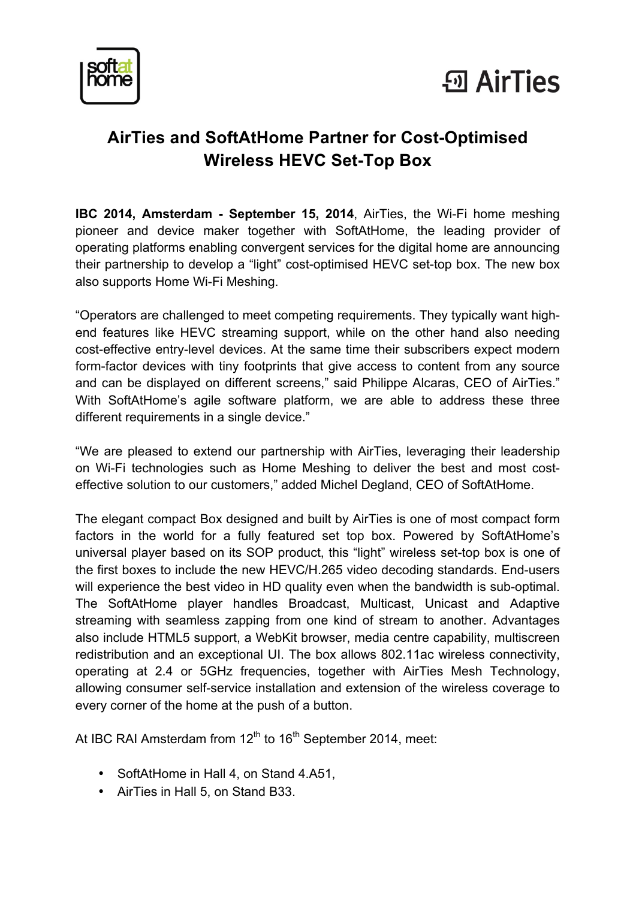



## **AirTies and SoftAtHome Partner for Cost-Optimised Wireless HEVC Set-Top Box**

**IBC 2014, Amsterdam - September 15, 2014**, AirTies, the Wi-Fi home meshing pioneer and device maker together with SoftAtHome, the leading provider of operating platforms enabling convergent services for the digital home are announcing their partnership to develop a "light" cost-optimised HEVC set-top box. The new box also supports Home Wi-Fi Meshing.

"Operators are challenged to meet competing requirements. They typically want highend features like HEVC streaming support, while on the other hand also needing cost-effective entry-level devices. At the same time their subscribers expect modern form-factor devices with tiny footprints that give access to content from any source and can be displayed on different screens," said Philippe Alcaras, CEO of AirTies." With SoftAtHome's agile software platform, we are able to address these three different requirements in a single device."

"We are pleased to extend our partnership with AirTies, leveraging their leadership on Wi-Fi technologies such as Home Meshing to deliver the best and most costeffective solution to our customers," added Michel Degland, CEO of SoftAtHome.

The elegant compact Box designed and built by AirTies is one of most compact form factors in the world for a fully featured set top box. Powered by SoftAtHome's universal player based on its SOP product, this "light" wireless set-top box is one of the first boxes to include the new HEVC/H.265 video decoding standards. End-users will experience the best video in HD quality even when the bandwidth is sub-optimal. The SoftAtHome player handles Broadcast, Multicast, Unicast and Adaptive streaming with seamless zapping from one kind of stream to another. Advantages also include HTML5 support, a WebKit browser, media centre capability, multiscreen redistribution and an exceptional UI. The box allows 802.11ac wireless connectivity, operating at 2.4 or 5GHz frequencies, together with AirTies Mesh Technology, allowing consumer self-service installation and extension of the wireless coverage to every corner of the home at the push of a button.

At IBC RAI Amsterdam from 12<sup>th</sup> to 16<sup>th</sup> September 2014, meet:

- SoftAtHome in Hall 4, on Stand 4.A51,
- AirTies in Hall 5, on Stand B33.